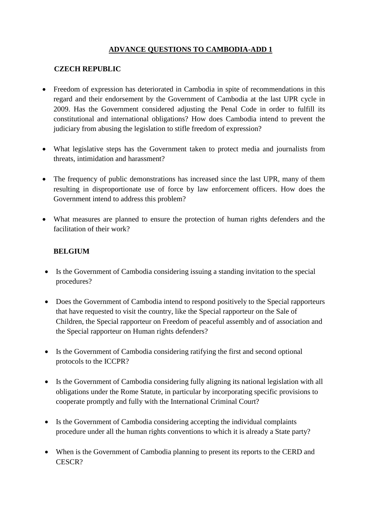# **ADVANCE QUESTIONS TO CAMBODIA-ADD 1**

## **CZECH REPUBLIC**

- Freedom of expression has deteriorated in Cambodia in spite of recommendations in this regard and their endorsement by the Government of Cambodia at the last UPR cycle in 2009. Has the Government considered adjusting the Penal Code in order to fulfill its constitutional and international obligations? How does Cambodia intend to prevent the judiciary from abusing the legislation to stifle freedom of expression?
- What legislative steps has the Government taken to protect media and journalists from threats, intimidation and harassment?
- The frequency of public demonstrations has increased since the last UPR, many of them resulting in disproportionate use of force by law enforcement officers. How does the Government intend to address this problem?
- What measures are planned to ensure the protection of human rights defenders and the facilitation of their work?

## **BELGIUM**

- Is the Government of Cambodia considering issuing a standing invitation to the special procedures?
- Does the Government of Cambodia intend to respond positively to the Special rapporteurs that have requested to visit the country, like the Special rapporteur on the Sale of Children, the Special rapporteur on Freedom of peaceful assembly and of association and the Special rapporteur on Human rights defenders?
- Is the Government of Cambodia considering ratifying the first and second optional protocols to the ICCPR?
- Is the Government of Cambodia considering fully aligning its national legislation with all obligations under the Rome Statute, in particular by incorporating specific provisions to cooperate promptly and fully with the International Criminal Court?
- Is the Government of Cambodia considering accepting the individual complaints procedure under all the human rights conventions to which it is already a State party?
- When is the Government of Cambodia planning to present its reports to the CERD and CESCR?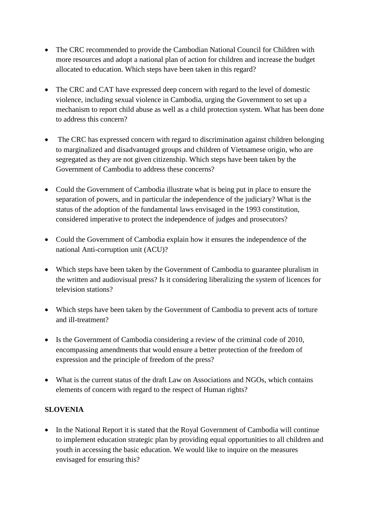- The CRC recommended to provide the Cambodian National Council for Children with more resources and adopt a national plan of action for children and increase the budget allocated to education. Which steps have been taken in this regard?
- The CRC and CAT have expressed deep concern with regard to the level of domestic violence, including sexual violence in Cambodia, urging the Government to set up a mechanism to report child abuse as well as a child protection system. What has been done to address this concern?
- The CRC has expressed concern with regard to discrimination against children belonging to marginalized and disadvantaged groups and children of Vietnamese origin, who are segregated as they are not given citizenship. Which steps have been taken by the Government of Cambodia to address these concerns?
- Could the Government of Cambodia illustrate what is being put in place to ensure the separation of powers, and in particular the independence of the judiciary? What is the status of the adoption of the fundamental laws envisaged in the 1993 constitution, considered imperative to protect the independence of judges and prosecutors?
- Could the Government of Cambodia explain how it ensures the independence of the national Anti-corruption unit (ACU)?
- Which steps have been taken by the Government of Cambodia to guarantee pluralism in the written and audiovisual press? Is it considering liberalizing the system of licences for television stations?
- Which steps have been taken by the Government of Cambodia to prevent acts of torture and ill-treatment?
- Is the Government of Cambodia considering a review of the criminal code of 2010, encompassing amendments that would ensure a better protection of the freedom of expression and the principle of freedom of the press?
- What is the current status of the draft Law on Associations and NGOs, which contains elements of concern with regard to the respect of Human rights?

## **SLOVENIA**

• In the National Report it is stated that the Royal Government of Cambodia will continue to implement education strategic plan by providing equal opportunities to all children and youth in accessing the basic education. We would like to inquire on the measures envisaged for ensuring this?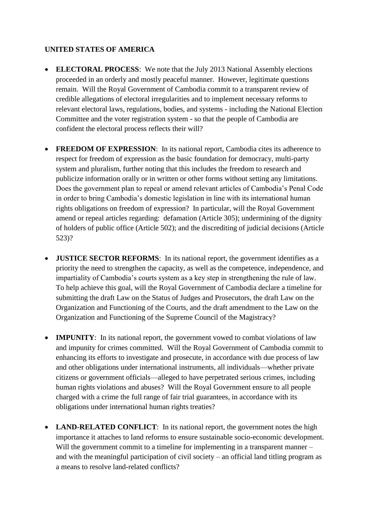## **UNITED STATES OF AMERICA**

- **ELECTORAL PROCESS**: We note that the July 2013 National Assembly elections proceeded in an orderly and mostly peaceful manner. However, legitimate questions remain. Will the Royal Government of Cambodia commit to a transparent review of credible allegations of electoral irregularities and to implement necessary reforms to relevant electoral laws, regulations, bodies, and systems - including the National Election Committee and the voter registration system - so that the people of Cambodia are confident the electoral process reflects their will?
- **FREEDOM OF EXPRESSION:** In its national report, Cambodia cites its adherence to respect for freedom of expression as the basic foundation for democracy, multi-party system and pluralism, further noting that this includes the freedom to research and publicize information orally or in written or other forms without setting any limitations. Does the government plan to repeal or amend relevant articles of Cambodia's Penal Code in order to bring Cambodia's domestic legislation in line with its international human rights obligations on freedom of expression? In particular, will the Royal Government amend or repeal articles regarding: defamation (Article 305); undermining of the dignity of holders of public office (Article 502); and the discrediting of judicial decisions (Article 523)?
- **JUSTICE SECTOR REFORMS**: In its national report, the government identifies as a priority the need to strengthen the capacity, as well as the competence, independence, and impartiality of Cambodia's courts system as a key step in strengthening the rule of law. To help achieve this goal, will the Royal Government of Cambodia declare a timeline for submitting the draft Law on the Status of Judges and Prosecutors, the draft Law on the Organization and Functioning of the Courts, and the draft amendment to the Law on the Organization and Functioning of the Supreme Council of the Magistracy?
- **IMPUNITY**: In its national report, the government vowed to combat violations of law and impunity for crimes committed. Will the Royal Government of Cambodia commit to enhancing its efforts to investigate and prosecute, in accordance with due process of law and other obligations under international instruments, all individuals—whether private citizens or government officials—alleged to have perpetrated serious crimes, including human rights violations and abuses? Will the Royal Government ensure to all people charged with a crime the full range of fair trial guarantees, in accordance with its obligations under international human rights treaties?
- **LAND-RELATED CONFLICT**: In its national report, the government notes the high importance it attaches to land reforms to ensure sustainable socio-economic development. Will the government commit to a timeline for implementing in a transparent manner – and with the meaningful participation of civil society – an official land titling program as a means to resolve land-related conflicts?